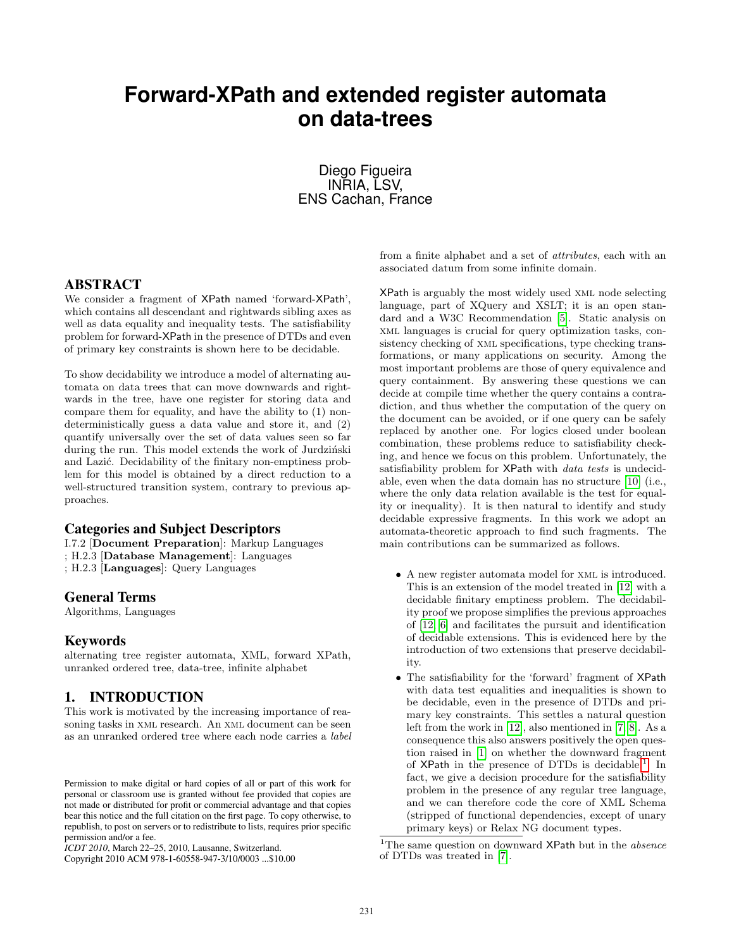# **Forward-XPath and extended register automata on data-trees**

Diego Figueira INRIA, LSV, ENS Cachan, France

# ABSTRACT

We consider a fragment of XPath named 'forward-XPath', which contains all descendant and rightwards sibling axes as well as data equality and inequality tests. The satisfiability problem for forward-XPath in the presence of DTDs and even of primary key constraints is shown here to be decidable.

To show decidability we introduce a model of alternating automata on data trees that can move downwards and rightwards in the tree, have one register for storing data and compare them for equality, and have the ability to (1) nondeterministically guess a data value and store it, and (2) quantify universally over the set of data values seen so far during the run. This model extends the work of Jurdziński and Lazić. Decidability of the finitary non-emptiness problem for this model is obtained by a direct reduction to a well-structured transition system, contrary to previous approaches.

## Categories and Subject Descriptors

I.7.2 [Document Preparation]: Markup Languages ; H.2.3 [Database Management]: Languages ; H.2.3 [Languages]: Query Languages

#### General Terms

Algorithms, Languages

## Keywords

alternating tree register automata, XML, forward XPath, unranked ordered tree, data-tree, infinite alphabet

## 1. INTRODUCTION

This work is motivated by the increasing importance of reasoning tasks in xml research. An xml document can be seen as an unranked ordered tree where each node carries a label from a finite alphabet and a set of attributes, each with an associated datum from some infinite domain.

XPath is arguably the most widely used xml node selecting language, part of XQuery and XSLT; it is an open standard and a W3C Recommendation [5]. Static analysis on xml languages is crucial for query optimization tasks, consistency checking of xml specifications, type checking transformations, or many applications on security. Among the most important problems are those of query equivalence and query containment. By answering these questions we can decide at compile time whether the query contains a contradiction, and thus whether the computation of the query on the document can be avoided, or if one query can be safely replaced by another one. For logics closed under boolean combination, these problems reduce to satisfiability checking, and hence we focus on this problem. Unfortunately, the satisfiability problem for XPath with data tests is undecidable, even when the data domain has no structure [10] (i.e., where the only data relation available is the test for equality or inequality). It is then natural to identify and study decidable expressive fragments. In this work we adopt an automata-theoretic approach to find such fragments. The main contributions can be summarized as follows.

- A new register automata model for xml is introduced. This is an extension of the model treated in [12] with a decidable finitary emptiness problem. The decidability proof we propose simplifies the previous approaches of [12, 6] and facilitates the pursuit and identification of decidable extensions. This is evidenced here by the introduction of two extensions that preserve decidability.
- The satisfiability for the 'forward' fragment of XPath with data test equalities and inequalities is shown to be decidable, even in the presence of DTDs and primary key constraints. This settles a natural question left from the work in [12], also mentioned in [7, 8]. As a consequence this also answers positively the open question raised in [1] on whether the downward fragment of  $XPath$  in the presence of DTDs is decidable.<sup>1</sup> In fact, we give a decision procedure for the satisfiability problem in the presence of any regular tree language, and we can therefore code the core of XML Schema (stripped of functional dependencies, except of unary primary keys) or Relax NG document types.

<sup>1</sup>The same question on downward  $XPath$  but in the *absence* of DTDs was treated in [7].

Permission to make digital or hard copies of all or part of this work for personal or classroom use is granted without fee provided that copies are not made or distributed for profit or commercial advantage and that copies bear this notice and the full citation on the first page. To copy otherwise, to republish, to post on servers or to redistribute to lists, requires prior specific permission and/or a fee.

*ICDT 2010*, March 22–25, 2010, Lausanne, Switzerland.

Copyright 2010 ACM 978-1-60558-947-3/10/0003 ...\$10.00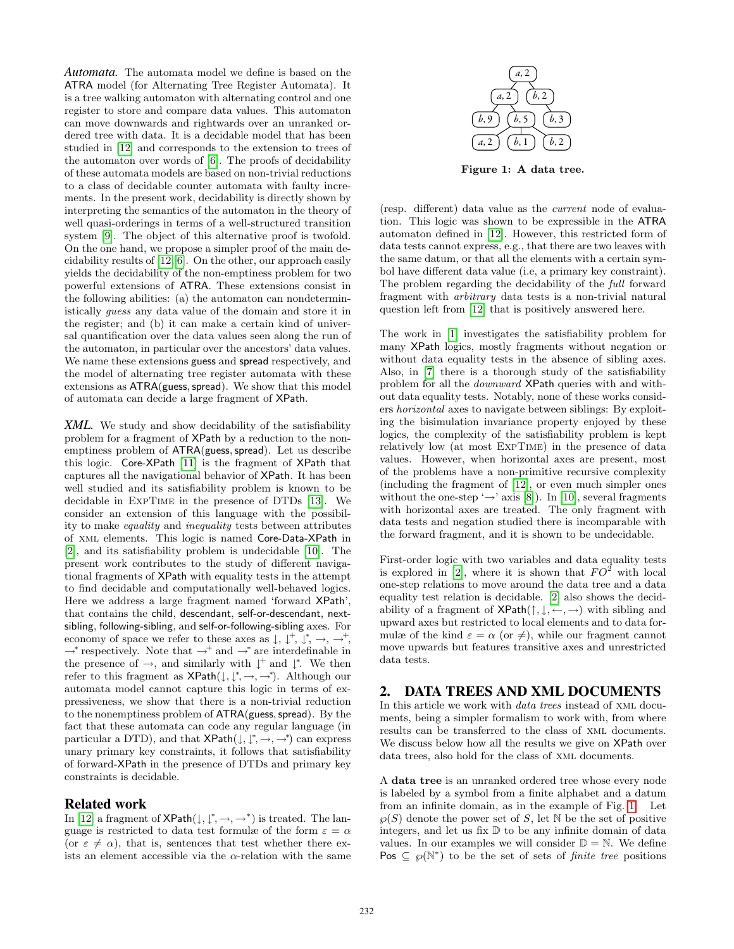*Automata.* The automata model we define is based on the ATRA model (for Alternating Tree Register Automata). It is a tree walking automaton with alternating control and one register to store and compare data values. This automaton can move downwards and rightwards over an unranked ordered tree with data. It is a decidable model that has been studied in [12] and corresponds to the extension to trees of the automaton over words of [6]. The proofs of decidability of these automata models are based on non-trivial reductions to a class of decidable counter automata with faulty increments. In the present work, decidability is directly shown by interpreting the semantics of the automaton in the theory of well quasi-orderings in terms of a well-structured transition system [9]. The object of this alternative proof is twofold. On the one hand, we propose a simpler proof of the main decidability results of [12, 6]. On the other, our approach easily yields the decidability of the non-emptiness problem for two powerful extensions of ATRA. These extensions consist in the following abilities: (a) the automaton can nondeterministically guess any data value of the domain and store it in the register; and (b) it can make a certain kind of universal quantification over the data values seen along the run of the automaton, in particular over the ancestors' data values. We name these extensions guess and spread respectively, and the model of alternating tree register automata with these extensions as  $ATRA(guess, spread)$ . We show that this model of automata can decide a large fragment of XPath.

*XML.* We study and show decidability of the satisfiability problem for a fragment of XPath by a reduction to the nonemptiness problem of ATRA(guess, spread). Let us describe this logic. Core-XPath [11] is the fragment of XPath that captures all the navigational behavior of XPath. It has been well studied and its satisfiability problem is known to be decidable in ExpTime in the presence of DTDs [13]. We consider an extension of this language with the possibility to make equality and inequality tests between attributes of xml elements. This logic is named Core-Data-XPath in [2], and its satisfiability problem is undecidable [10]. The present work contributes to the study of different navigational fragments of XPath with equality tests in the attempt to find decidable and computationally well-behaved logics. Here we address a large fragment named 'forward XPath', that contains the child, descendant, self-or-descendant, nextsibling, following-sibling, and self-or-following-sibling axes. For economy of space we refer to these axes as  $\downarrow$ ,  $\downarrow^+, \downarrow^*, \rightarrow, \rightarrow^+,$ → \* respectively. Note that  $\rightarrow$  + and  $\rightarrow$  \* are interdefinable in the presence of  $\rightarrow$ , and similarly with  $\downarrow^+$  and  $\downarrow^*$ . We then refer to this fragment as  $\mathsf{XPath}(\downarrow, \downarrow^*, \rightarrow, \rightarrow^*)$ . Although our automata model cannot capture this logic in terms of expressiveness, we show that there is a non-trivial reduction to the nonemptiness problem of  $ATRA(guess, spread)$ . By the fact that these automata can code any regular language (in particular a DTD), and that  $\mathsf{XPath}(\downarrow, \downarrow^*, \rightarrow, \rightarrow^*)$  can express unary primary key constraints, it follows that satisfiability of forward-XPath in the presence of DTDs and primary key constraints is decidable.

# Related work

In [12] a fragment of  $\mathsf{XPath}(\downarrow, \downarrow^*, \rightarrow, \rightarrow^*)$  is treated. The language is restricted to data test formulæ of the form  $\varepsilon = \alpha$ (or  $\varepsilon \neq \alpha$ ), that is, sentences that test whether there exists an element accessible via the  $\alpha$ -relation with the same



Figure 1: A data tree.

(resp. different) data value as the current node of evaluation. This logic was shown to be expressible in the ATRA automaton defined in [12]. However, this restricted form of data tests cannot express, e.g., that there are two leaves with the same datum, or that all the elements with a certain symbol have different data value (i.e, a primary key constraint). The problem regarding the decidability of the full forward fragment with arbitrary data tests is a non-trivial natural question left from [12] that is positively answered here.

The work in [1] investigates the satisfiability problem for many XPath logics, mostly fragments without negation or without data equality tests in the absence of sibling axes. Also, in [7] there is a thorough study of the satisfiability problem for all the downward XPath queries with and without data equality tests. Notably, none of these works considers horizontal axes to navigate between siblings: By exploiting the bisimulation invariance property enjoyed by these logics, the complexity of the satisfiability problem is kept relatively low (at most ExpTime) in the presence of data values. However, when horizontal axes are present, most of the problems have a non-primitive recursive complexity (including the fragment of [12], or even much simpler ones without the one-step ' $\rightarrow$ ' axis [8]). In [10], several fragments with horizontal axes are treated. The only fragment with data tests and negation studied there is incomparable with the forward fragment, and it is shown to be undecidable.

First-order logic with two variables and data equality tests is explored in [2], where it is shown that  $FO^2$  with local one-step relations to move around the data tree and a data equality test relation is decidable. [2] also shows the decidability of a fragment of  $\mathsf{XPath}(\uparrow, \downarrow, \leftarrow, \rightarrow)$  with sibling and upward axes but restricted to local elements and to data formulæ of the kind  $\varepsilon = \alpha$  (or  $\neq$ ), while our fragment cannot move upwards but features transitive axes and unrestricted data tests.

### 2. DATA TREES AND XML DOCUMENTS

In this article we work with data trees instead of xml documents, being a simpler formalism to work with, from where results can be transferred to the class of xml documents. We discuss below how all the results we give on XPath over data trees, also hold for the class of xml documents.

A data tree is an unranked ordered tree whose every node is labeled by a symbol from a finite alphabet and a datum from an infinite domain, as in the example of Fig. 1. Let  $\wp(S)$  denote the power set of S, let N be the set of positive integers, and let us fix  $D$  to be any infinite domain of data values. In our examples we will consider  $\mathbb{D} = \mathbb{N}$ . We define Pos  $\subseteq \wp(N^*)$  to be the set of sets of *finite tree* positions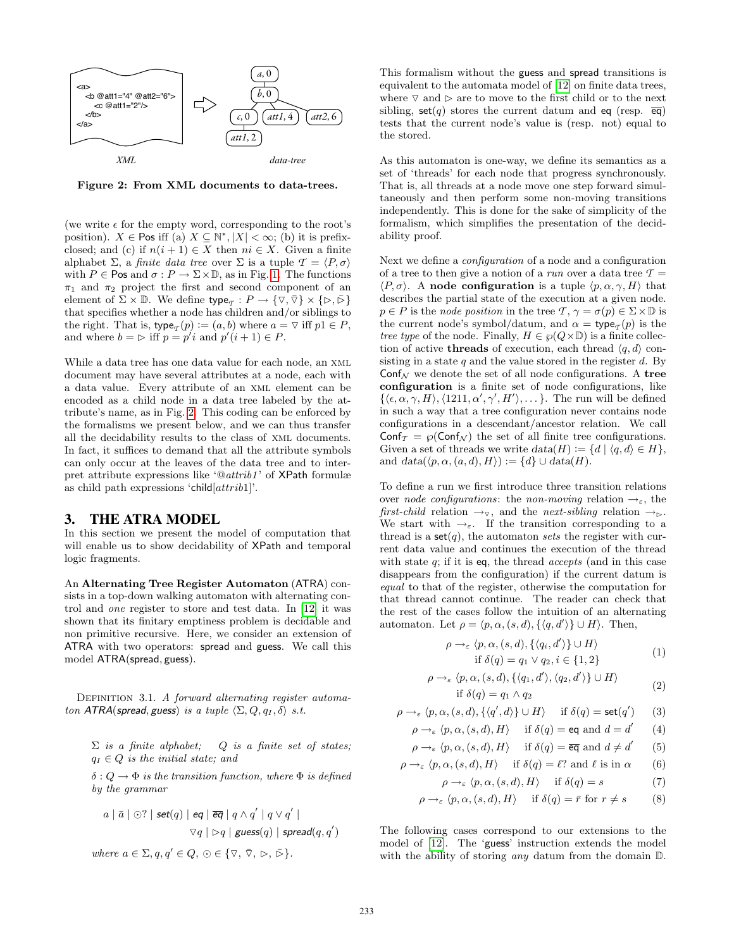

Figure 2: From XML documents to data-trees.

(we write  $\epsilon$  for the empty word, corresponding to the root's position).  $X \in \mathsf{Pos}$  iff (a)  $X \subseteq \mathbb{N}^*, |X| < \infty$ ; (b) it is prefixclosed; and (c) if  $n(i + 1) \in X$  then  $ni \in X$ . Given a finite alphabet  $\Sigma$ , a *finite data tree* over  $\Sigma$  is a tuple  $\mathcal{T} = \langle P, \sigma \rangle$ with  $P \in \text{Pos}$  and  $\sigma : P \to \Sigma \times \mathbb{D}$ , as in Fig. 1. The functions  $\pi_1$  and  $\pi_2$  project the first and second component of an element of  $\Sigma \times \mathbb{D}$ . We define  $\mathsf{type}_{\mathcal{T}} : P \to \{\nabla, \overline{\nabla}\} \times \{\rhd, \overline{\rhd}\}$ that specifies whether a node has children and/or siblings to the right. That is,  $\mathsf{type}_{\mathcal{T}}(p) := (a, b)$  where  $a = \nabla$  iff  $p1 \in P$ , and where  $b = \triangleright$  iff  $p = p'i$  and  $p'(i + 1) \in P$ .

While a data tree has one data value for each node, an xml document may have several attributes at a node, each with a data value. Every attribute of an xml element can be encoded as a child node in a data tree labeled by the attribute's name, as in Fig. 2. This coding can be enforced by the formalisms we present below, and we can thus transfer all the decidability results to the class of xml documents. In fact, it suffices to demand that all the attribute symbols can only occur at the leaves of the data tree and to interpret attribute expressions like '@attrib1 ' of XPath formulæ as child path expressions 'child $[attribute]$ '.

#### 3. THE ATRA MODEL

In this section we present the model of computation that will enable us to show decidability of XPath and temporal logic fragments.

An Alternating Tree Register Automaton (ATRA) consists in a top-down walking automaton with alternating control and one register to store and test data. In [12] it was shown that its finitary emptiness problem is decidable and non primitive recursive. Here, we consider an extension of ATRA with two operators: spread and guess. We call this model ATRA(spread, guess).

DEFINITION 3.1. A forward alternating register automaton ATRA(spread, guess) is a tuple  $\langle \Sigma, Q, q_I, \delta \rangle$  s.t.

 $\Sigma$  is a finite alphabet; Q is a finite set of states;  $q_I \in Q$  is the initial state; and

 $\delta: Q \to \Phi$  is the transition function, where  $\Phi$  is defined by the grammar

a | a¯ | ? | set(q) | eq | eq | q ∧ q 0 | q ∨ q 0 | Oq | ✄q | guess(q) | spread(q, q 0 )

where  $a \in \Sigma, q, q' \in Q, \varpi \in {\mathbb R}$ ,  $\overline{\triangledown}, \overline{\triangledown}, \varpi, \varpi, \overline{\triangleright}$ .

This formalism without the guess and spread transitions is equivalent to the automata model of [12] on finite data trees, where  $\nabla$  and  $\nabla$  are to move to the first child or to the next sibling, set(q) stores the current datum and eq (resp.  $\overline{eq}$ ) tests that the current node's value is (resp. not) equal to the stored.

As this automaton is one-way, we define its semantics as a set of 'threads' for each node that progress synchronously. That is, all threads at a node move one step forward simultaneously and then perform some non-moving transitions independently. This is done for the sake of simplicity of the formalism, which simplifies the presentation of the decidability proof.

Next we define a configuration of a node and a configuration of a tree to then give a notion of a *run* over a data tree  $\mathcal{T} =$  $\langle P, \sigma \rangle$ . A node configuration is a tuple  $\langle p, \alpha, \gamma, H \rangle$  that describes the partial state of the execution at a given node.  $p \in P$  is the *node position* in the tree  $\mathcal{T}, \gamma = \sigma(p) \in \Sigma \times \mathbb{D}$  is the current node's symbol/datum, and  $\alpha = \text{type}_{\mathcal{T}}(p)$  is the tree type of the node. Finally,  $H \in \wp(Q \times \mathbb{D})$  is a finite collection of active **threads** of execution, each thread  $\langle q, d \rangle$  consisting in a state  $q$  and the value stored in the register  $d$ . By  $\mathsf{Conf}_{\mathcal{N}}$  we denote the set of all node configurations. A tree configuration is a finite set of node configurations, like  $\{\langle \epsilon, \alpha, \gamma, H \rangle, \langle 1211, \alpha', \gamma', H' \rangle, \dots\}.$  The run will be defined in such a way that a tree configuration never contains node configurations in a descendant/ancestor relation. We call  $\text{Conf}_{\mathcal{T}} = \wp(\text{Conf}_{\mathcal{N}})$  the set of all finite tree configurations. Given a set of threads we write  $data(H) := \{d \mid \langle q, d \rangle \in H\},\$ and  $data(\langle p, \alpha, (a, d), H \rangle) := \{d\} \cup data(H)$ .

To define a run we first introduce three transition relations over node configurations: the non-moving relation  $\rightarrow_{\varepsilon}$ , the first-child relation  $\rightarrow_{\triangledown}$ , and the next-sibling relation  $\rightarrow_{\triangleright}$ . We start with  $\rightarrow_{\varepsilon}$ . If the transition corresponding to a thread is a  $set(q)$ , the automaton sets the register with current data value and continues the execution of the thread with state  $q$ ; if it is eq, the thread *accepts* (and in this case disappears from the configuration) if the current datum is equal to that of the register, otherwise the computation for that thread cannot continue. The reader can check that the rest of the cases follow the intuition of an alternating automaton. Let  $\rho = \langle p, \alpha, (s, d), \{ \langle q, d' \rangle \} \cup H \rangle$ . Then,

$$
\rho \rightarrow_{\varepsilon} \langle p, \alpha, (s, d), \{ \langle q_i, d' \rangle \} \cup H \rangle
$$
  
if  $\delta(q) = q_1 \vee q_2, i \in \{1, 2\}$  (1)

$$
\rho \to_{\varepsilon} \langle p, \alpha, (s, d), \{ \langle q_1, d' \rangle, \langle q_2, d' \rangle \} \cup H \rangle
$$
  
if  $\delta(q) = q_1 \wedge q_2$  (2)

$$
\rho \to_{\varepsilon} \langle p, \alpha, (s, d), \{ \langle q', d \rangle \} \cup H \rangle \quad \text{if } \delta(q) = \text{set}(q') \tag{3}
$$

$$
\rho \to_{\varepsilon} \langle p, \alpha, (s, d), H \rangle \quad \text{if } \delta(q) = \text{eq} \text{ and } d = d' \tag{4}
$$

$$
\rho \to_{\varepsilon} \langle p, \alpha, (s, d), H \rangle \quad \text{if } \delta(q) = \overline{\text{eq}} \text{ and } d \neq d' \qquad (5)
$$

$$
\rho \to_{\varepsilon} \langle p, \alpha, (s, d), H \rangle \quad \text{if } \delta(q) = \ell? \text{ and } \ell \text{ is in } \alpha \qquad (6)
$$

$$
\rho \to_{\varepsilon} \langle p, \alpha, (s, d), H \rangle \quad \text{if } \delta(q) = s \tag{7}
$$

$$
\rho \to_{\varepsilon} \langle p, \alpha, (s, d), H \rangle \quad \text{if } \delta(q) = \bar{r} \text{ for } r \neq s \tag{8}
$$

The following cases correspond to our extensions to the model of [12]. The 'guess' instruction extends the model with the ability of storing *any* datum from the domain  $\mathbb{D}$ .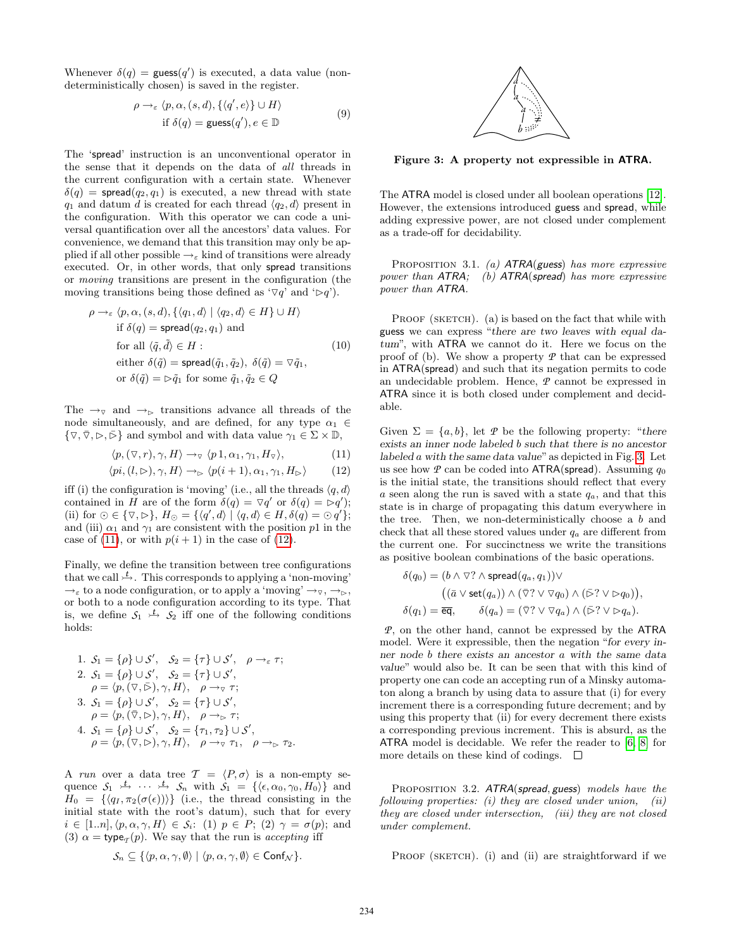Whenever  $\delta(q) = \text{guess}(q')$  is executed, a data value (nondeterministically chosen) is saved in the register.

$$
\rho \to_{\varepsilon} \langle p, \alpha, (s, d), \{ \langle q', e \rangle \} \cup H \rangle
$$
  
if  $\delta(q) = \text{guess}(q'), e \in \mathbb{D}$  (9)

The 'spread' instruction is an unconventional operator in the sense that it depends on the data of all threads in the current configuration with a certain state. Whenever  $\delta(q)$  = spread $(q_2, q_1)$  is executed, a new thread with state  $q_1$  and datum d is created for each thread  $\langle q_2, d \rangle$  present in the configuration. With this operator we can code a universal quantification over all the ancestors' data values. For convenience, we demand that this transition may only be applied if all other possible  $\rightarrow_{\varepsilon}$  kind of transitions were already executed. Or, in other words, that only spread transitions or moving transitions are present in the configuration (the moving transitions being those defined as ' $\nabla q$ ' and ' $\rho q$ ').

$$
\rho \rightarrow_{\varepsilon} \langle p, \alpha, (s, d), \{ \langle q_1, d \rangle \mid \langle q_2, d \rangle \in H \} \cup H \rangle
$$
  
if  $\delta(q) = \text{spread}(q_2, q_1)$  and  
for all  $\langle \tilde{q}, \tilde{d} \rangle \in H$ :  
either  $\delta(\tilde{q}) = \text{spread}(\tilde{q}_1, \tilde{q}_2), \ \delta(\tilde{q}) = \nabla \tilde{q}_1,$   
or  $\delta(\tilde{q}) = \rhd \tilde{q}_1$  for some  $\tilde{q}_1, \tilde{q}_2 \in Q$  (10)

The  $\rightarrow_{\triangledown}$  and  $\rightarrow_{\triangleright}$  transitions advance all threads of the node simultaneously, and are defined, for any type  $\alpha_1 \in$  $\{\nabla, \overline{\nabla}, \triangleright, \triangleright\}$  and symbol and with data value  $\gamma_1 \in \Sigma \times \mathbb{D}$ ,

$$
\langle p, (\nabla, r), \gamma, H \rangle \to_{\nabla} \langle p \, 1, \alpha_1, \gamma_1, H_{\nabla} \rangle, \tag{11}
$$

$$
\langle pi, (l, \rhd), \gamma, H \rangle \to_{\rhd} \langle p(i+1), \alpha_1, \gamma_1, H_{\rhd} \rangle \tag{12}
$$

iff (i) the configuration is 'moving' (i.e., all the threads  $\langle q, d \rangle$ contained in H are of the form  $\delta(q) = \nabla q'$  or  $\delta(q) = \nabla q'$ ; (ii) for  $\odot \in {\triangledown, \triangleright}, H_{\odot} = {\langle q', d \rangle \mid \langle q, d \rangle \in H, \delta(q) = \odot q' };$ and (iii)  $\alpha_1$  and  $\gamma_1$  are consistent with the position p1 in the case of (11), or with  $p(i + 1)$  in the case of (12).

Finally, we define the transition between tree configurations that we call  $\stackrel{t}{\rightarrow}$ . This corresponds to applying a 'non-moving'  $\rightarrow_{\varepsilon}$  to a node configuration, or to apply a 'moving'  $\rightarrow_{\triangledown}$ ,  $\rightarrow_{\triangleright}$ , or both to a node configuration according to its type. That is, we define  $S_1 \stackrel{t}{\rightarrow} S_2$  iff one of the following conditions holds:

1. 
$$
S_1 = \{\rho\} \cup S', S_2 = \{\tau\} \cup S', \rho \rightarrow_{\varepsilon} \tau;
$$
  
\n2.  $S_1 = \{\rho\} \cup S', S_2 = \{\tau\} \cup S',$   
\n $\rho = \langle p, (\nabla, \bar{\rhd}), \gamma, H \rangle, \rho \rightarrow_{\nu} \tau;$   
\n3.  $S_1 = \{\rho\} \cup S', S_2 = \{\tau\} \cup S',$   
\n $\rho = \langle p, (\bar{\nabla}, \rhd), \gamma, H \rangle, \rho \rightarrow_{\rhd} \tau;$   
\n4.  $S_1 = \{\rho\} \cup S', S_2 = \{\tau_1, \tau_2\} \cup S',$   
\n $\rho = \langle p, (\nabla, \rhd), \gamma, H \rangle, \rho \rightarrow_{\nu} \tau_1, \rho \rightarrow_{\rhd} \tau_2.$ 

A run over a data tree  $\mathcal{T} = \langle P, \sigma \rangle$  is a non-empty sequence  $S_1 \xrightarrow{t} \cdots \xrightarrow{t} S_n$  with  $S_1 = \{\langle \epsilon, \alpha_0, \gamma_0, H_0 \rangle\}$  and  $H_0 = \{ \langle q_I , \pi_2(\sigma(\epsilon)) \rangle \}$  (i.e., the thread consisting in the initial state with the root's datum), such that for every  $i \in [1..n], \langle p, \alpha, \gamma, H \rangle \in \mathcal{S}_i$ : (1)  $p \in P$ ; (2)  $\gamma = \sigma(p)$ ; and (3)  $\alpha = \text{type}_{\mathcal{T}}(p)$ . We say that the run is *accepting* iff

$$
\mathcal{S}_n \subseteq \{ \langle p, \alpha, \gamma, \emptyset \rangle \mid \langle p, \alpha, \gamma, \emptyset \rangle \in \mathsf{Conf}_\mathcal{N} \}.
$$



Figure 3: A property not expressible in ATRA.

The ATRA model is closed under all boolean operations [12]. However, the extensions introduced guess and spread, while adding expressive power, are not closed under complement as a trade-off for decidability.

PROPOSITION 3.1. (a)  $ATRA(guess)$  has more expressive power than ATRA; (b) ATRA(spread) has more expressive power than ATRA.

PROOF (SKETCH). (a) is based on the fact that while with guess we can express "there are two leaves with equal datum", with ATRA we cannot do it. Here we focus on the proof of (b). We show a property *P* that can be expressed in ATRA(spread) and such that its negation permits to code an undecidable problem. Hence, *P* cannot be expressed in ATRA since it is both closed under complement and decidable.

Given  $\Sigma = \{a, b\}$ , let  $\mathcal P$  be the following property: "there exists an inner node labeled b such that there is no ancestor labeled a with the same data value" as depicted in Fig. 3. Let us see how  $P$  can be coded into  $\text{ATRA}(\text{spread})$ . Assuming  $q_0$ is the initial state, the transitions should reflect that every a seen along the run is saved with a state  $q_a$ , and that this state is in charge of propagating this datum everywhere in the tree. Then, we non-deterministically choose a b and check that all these stored values under  $q_a$  are different from the current one. For succinctness we write the transitions as positive boolean combinations of the basic operations.

$$
\delta(q_0) = (b \wedge \nabla? \wedge \text{spread}(q_a, q_1)) \vee \n((\bar{a} \vee \text{set}(q_a)) \wedge (\bar{\nabla}? \vee \nabla q_0) \wedge (\bar{\nabla}? \vee \nabla q_0)), \n\delta(q_1) = \overline{\text{eq}}, \qquad \delta(q_a) = (\bar{\nabla}? \vee \nabla q_a) \wedge (\bar{\nabla}? \vee \nabla q_a).
$$

*P*, on the other hand, cannot be expressed by the ATRA model. Were it expressible, then the negation "for every inner node b there exists an ancestor a with the same data value" would also be. It can be seen that with this kind of property one can code an accepting run of a Minsky automaton along a branch by using data to assure that (i) for every increment there is a corresponding future decrement; and by using this property that (ii) for every decrement there exists a corresponding previous increment. This is absurd, as the ATRA model is decidable. We refer the reader to [6, 8] for more details on these kind of codings.  $\square$ 

PROPOSITION 3.2. ATRA(spread, guess) models have the following properties:  $(i)$  they are closed under union,  $(ii)$ they are closed under intersection, (iii) they are not closed under complement.

PROOF (SKETCH). (i) and (ii) are straightforward if we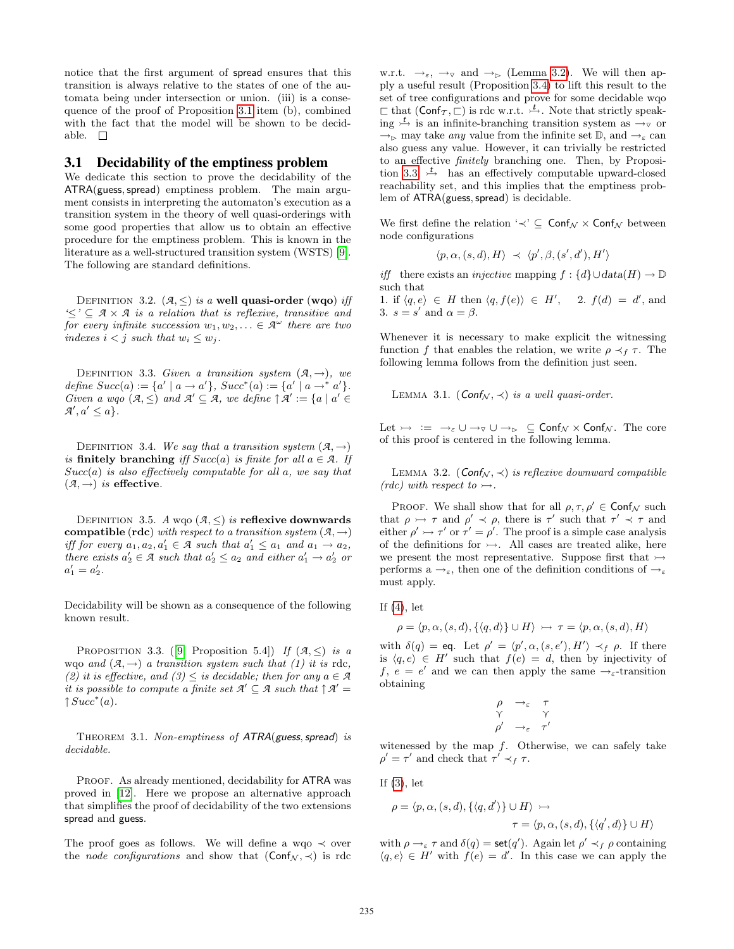notice that the first argument of spread ensures that this transition is always relative to the states of one of the automata being under intersection or union. (iii) is a consequence of the proof of Proposition 3.1 item (b), combined with the fact that the model will be shown to be decidable.  $\square$ 

#### 3.1 Decidability of the emptiness problem

We dedicate this section to prove the decidability of the ATRA(guess, spread) emptiness problem. The main argument consists in interpreting the automaton's execution as a transition system in the theory of well quasi-orderings with some good properties that allow us to obtain an effective procedure for the emptiness problem. This is known in the literature as a well-structured transition system (WSTS) [9]. The following are standard definitions.

DEFINITION 3.2.  $(A, \leq)$  is a well quasi-order (wqo) iff  $\leq \leq$   $\leq$  *A*  $\times$  *A* is a relation that is reflexive, transitive and for every infinite succession  $w_1, w_2, ... \in \mathcal{A}^{\omega}$  there are two indexes  $i < j$  such that  $w_i \leq w_j$ .

DEFINITION 3.3. Given a transition system  $(A, \rightarrow)$ , we define  $Succ(a) := \{a' \mid a \to a'\}, \, Succ^*(a) := \{a' \mid a \to a'\}.$ Given a wqo  $(A, \leq)$  and  $A' \subseteq A$ , we define  $\uparrow A' := \{a \mid a' \in A\}$  $\mathcal{A}', a' \leq a$ .

DEFINITION 3.4. We say that a transition system  $(A, \rightarrow)$ is finitely branching iff  $Succ(a)$  is finite for all  $a \in \mathcal{A}$ . If  $Succ(a)$  is also effectively computable for all a, we say that  $(\mathcal{A}, \rightarrow)$  *is* effective.

DEFINITION 3.5. A wqo  $(A, \leq)$  is reflexive downwards compatible (rdc) with respect to a transition system  $(A, \rightarrow)$ iff for every  $a_1, a_2, a'_1 \in \mathcal{A}$  such that  $a'_1 \le a_1$  and  $a_1 \to a_2$ , there exists  $a'_2 \in \mathcal{A}$  such that  $a'_2 \le a_2$  and either  $a'_1 \to a'_2$  or  $a'_1 = a'_2.$ 

Decidability will be shown as a consequence of the following known result.

PROPOSITION 3.3. ([9, Proposition 5.4]) If  $(A, \leq)$  is a wqo and  $(A, \rightarrow)$  a transition system such that (1) it is rdc, (2) it is effective, and  $(3) \leq$  is decidable; then for any  $a \in \mathcal{A}$ it is possible to compute a finite set  $\mathcal{A}' \subseteq \mathcal{A}$  such that  $\uparrow \mathcal{A}' =$  $\uparrow Succ^*(a)$ .

THEOREM 3.1. Non-emptiness of ATRA(guess, spread) is decidable.

PROOF. As already mentioned, decidability for ATRA was proved in [12]. Here we propose an alternative approach that simplifies the proof of decidability of the two extensions spread and guess.

The proof goes as follows. We will define a wqo  $\prec$  over the *node configurations* and show that  $(Conf_{\mathcal{N}}, \prec)$  is rdc w.r.t.  $\rightarrow_{\varepsilon}$ ,  $\rightarrow_{\triangledown}$  and  $\rightarrow_{\triangleright}$  (Lemma 3.2). We will then apply a useful result (Proposition 3.4) to lift this result to the set of tree configurations and prove for some decidable wqo  $\sqsubset$  that  $(Conf_{\mathcal{T}}, \sqsubset)$  is rdc w.r.t.  $\stackrel{t}{\rightarrow}$ . Note that strictly speaking  $\frac{t}{\sqrt{t}}$  is an infinite-branching transition system as  $\rightarrow_{\triangledown}$  or  $\rightarrow_{\succeq}$  may take *any* value from the infinite set D, and  $\rightarrow_{\varepsilon}$  can also guess any value. However, it can trivially be restricted to an effective finitely branching one. Then, by Proposition 3.3,  $\overset{t}{\rightarrow}$  has an effectively computable upward-closed reachability set, and this implies that the emptiness problem of  $ATRA(guess, spread)$  is decidable.

We first define the relation ' $\prec' \subseteq \mathsf{Conf}_{\mathcal{N}} \times \mathsf{Conf}_{\mathcal{N}}$  between node configurations

$$
\langle p, \alpha, (s, d), H \rangle \prec \langle p', \beta, (s', d'), H' \rangle
$$

0

iff there exists an *injective* mapping  $f : \{d\} \cup data(H) \rightarrow \mathbb{D}$ such that

1. if  $\langle q, e \rangle \in H$  then  $\langle q, f(e) \rangle \in H'$ , 2.  $f(d) = d'$ , and 3.  $s = s'$  and  $\alpha = \beta$ .

Whenever it is necessary to make explicit the witnessing function f that enables the relation, we write  $\rho \prec_f \tau$ . The following lemma follows from the definition just seen.

LEMMA 3.1. (Conf $\mathcal{N}, \prec$ ) is a well quasi-order.

Let  $\rightarrowtail := \rightarrow_{\varepsilon} \cup \rightarrow_{\triangledown} \cup \rightarrow_{\triangleright} \subseteq \mathsf{Conf}_{\mathcal{N}} \times \mathsf{Conf}_{\mathcal{N}}$ . The core of this proof is centered in the following lemma.

LEMMA 3.2. ( $\text{Conf}_{\mathcal{N}}, \prec$ ) is reflexive downward compatible  $(rdc)$  with respect to  $\rightarrow$ .

PROOF. We shall show that for all  $\rho, \tau, \rho' \in \mathsf{Conf}_{\mathcal{N}}$  such that  $\rho \mapsto \tau$  and  $\rho' \prec \rho$ , there is  $\tau'$  such that  $\tau' \prec \tau$  and either  $\rho' \rightarrow \tau'$  or  $\tau' = \rho'$ . The proof is a simple case analysis of the definitions for  $\rightarrow$ . All cases are treated alike, here we present the most representative. Suppose first that  $\rightarrow$ performs  $a \rightarrow_{\varepsilon}$ , then one of the definition conditions of  $\rightarrow_{\varepsilon}$ must apply.

If  $(4)$ , let

$$
\rho = \langle p, \alpha, (s, d), \{ \langle q, d \rangle \} \cup H \rangle \ \rightarrowtail \ \tau = \langle p, \alpha, (s, d), H \rangle
$$

with  $\delta(q) = \text{eq.}$  Let  $\rho' = \langle p', \alpha, (s, e'), H' \rangle \prec_f \rho$ . If there is  $\langle q, e \rangle \in H'$  such that  $f(e) = d$ , then by injectivity of f,  $e = e'$  and we can then apply the same  $\rightarrow_{\varepsilon}$ -transition obtaining

$$
\begin{array}{ccc}\n\rho & \rightarrow_{\varepsilon} & \tau \\
\gamma & & \gamma \\
\rho' & \rightarrow_{\varepsilon} & \tau'\n\end{array}
$$

witenessed by the map  $f$ . Otherwise, we can safely take  $\rho' = \tau'$  and check that  $\tau' \prec_f \tau$ .

If  $(3)$ , let

$$
\rho = \langle p, \alpha, (s, d), \{ \langle q, d' \rangle \} \cup H \rangle \rightarrowtail
$$
  

$$
\tau = \langle p, \alpha, (s, d), \{ \langle q', d \rangle \} \cup H \rangle
$$

with  $\rho \rightarrow_{\varepsilon} \tau$  and  $\delta(q) = \mathsf{set}(q')$ . Again let  $\rho' \prec_f \rho$  containing  $\langle q, e \rangle \in H'$  with  $f(e) = d'$ . In this case we can apply the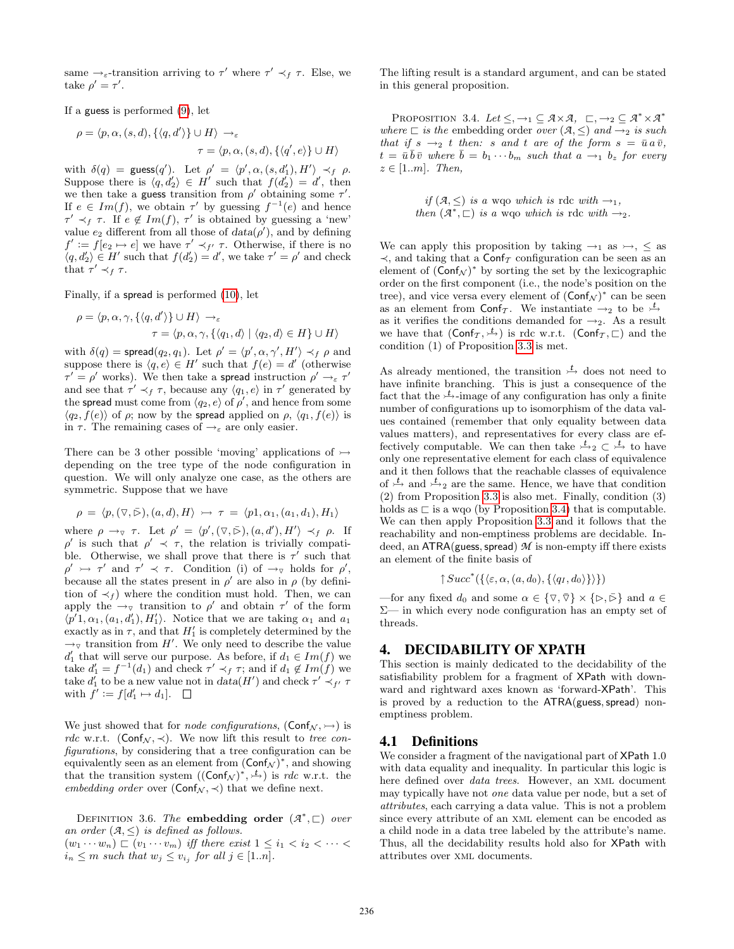same  $\rightarrow_{\varepsilon}$ -transition arriving to  $\tau'$  where  $\tau' \prec_f \tau$ . Else, we take  $\rho' = \tau'.$ 

If a guess is performed (9), let

$$
\rho = \langle p, \alpha, (s, d), \{ \langle q, d' \rangle \} \cup H \rangle \longrightarrow_{\varepsilon}
$$

$$
\tau = \langle p, \alpha, (s, d), \{ \langle q', e \rangle \} \cup H \rangle
$$

with  $\delta(q) = \text{guess}(q')$ . Let  $\rho' = \langle p', \alpha, (s, d'_1), H' \rangle \prec_f \rho$ . Suppose there is  $\langle q, d'_2 \rangle \in H'$  such that  $f(d'_2) = d'$ , then we then take a guess transition from  $\rho'$  obtaining some  $\tau'$ . If  $e \in Im(f)$ , we obtain  $\tau'$  by guessing  $f^{-1}(e)$  and hence  $\tau' \prec_f \tau$ . If  $e \notin Im(f)$ ,  $\tau'$  is obtained by guessing a 'new' value  $e_2$  different from all those of  $data(\rho')$ , and by defining  $f' := f[e_2 \mapsto e]$  we have  $\tau' \prec_{f'} \tau$ . Otherwise, if there is no  $\langle q, d'_2 \rangle \in H'$  such that  $f(d'_2) = d'$ , we take  $\tau' = \rho'$  and check that  $\tau' \prec_f \tau$ .

Finally, if a spread is performed (10), let

$$
\rho = \langle p, \alpha, \gamma, \{ \langle q, d' \rangle \} \cup H \rangle \rightarrow_{\varepsilon} \n\tau = \langle p, \alpha, \gamma, \{ \langle q_1, d \rangle \mid \langle q_2, d \rangle \in H \} \cup H \rangle
$$

with  $\delta(q) = \textsf{spread}(q_2, q_1)$ . Let  $\rho' = \langle p', \alpha, \gamma', H' \rangle \prec_f \rho$  and suppose there is  $\langle q, e \rangle \in H'$  such that  $f(e) = d'$  (otherwise  $\tau' = \rho'$  works). We then take a spread instruction  $\rho' \rightarrow_{\varepsilon} \tau'$ and see that  $\tau' \prec_f \tau$ , because any  $\langle q_1, e \rangle$  in  $\tau'$  generated by the spread must come from  $\langle q_2, e \rangle$  of  $\rho'$ , and hence from some  $\langle q_2, f(e) \rangle$  of  $\rho$ ; now by the spread applied on  $\rho$ ,  $\langle q_1, f(e) \rangle$  is in  $\tau$ . The remaining cases of  $\rightarrow_{\varepsilon}$  are only easier.

There can be 3 other possible 'moving' applications of  $\rightarrow$ depending on the tree type of the node configuration in question. We will only analyze one case, as the others are symmetric. Suppose that we have

$$
\rho = \langle p, (\triangledown, \bar{\triangleright}), (a, d), H \rangle \rightarrowtail \tau = \langle p1, \alpha_1, (a_1, d_1), H_1 \rangle
$$

where  $\rho \to_{\nabla} \tau$ . Let  $\rho' = \langle p', (\nabla, \bar{\triangleright}), (a, d'), H' \rangle \prec_f \rho$ . If  $ρ'$  is such that  $ρ' \prec τ$ , the relation is trivially compatible. Otherwise, we shall prove that there is  $\tau'$  such that  $\rho' \rightarrow \tau'$  and  $\tau' \prec \tau$ . Condition (i) of  $\rightarrow_{\tau}$  holds for  $\rho'$ , because all the states present in  $\rho'$  are also in  $\rho$  (by definition of  $\prec_f$ ) where the condition must hold. Then, we can apply the  $\rightarrow_{\triangledown}$  transition to  $\rho'$  and obtain  $\tau'$  of the form  $\langle p'1, \alpha_1, (a_1, d'_1), H'_1 \rangle$ . Notice that we are taking  $\alpha_1$  and  $a_1$ exactly as in  $\tau$ , and that  $H'_1$  is completely determined by the  $\rightarrow_{\triangledown}$  transition from H'. We only need to describe the value  $d'_1$  that will serve our purpose. As before, if  $d_1 \in Im(f)$  we take  $d_1' = f^{-1}(d_1)$  and check  $\tau' \prec_f \tau$ ; and if  $d_1 \notin Im(f)$  we take  $d'_1$  to be a new value not in  $data(H')$  and check  $\tau' \prec_{f'} \tau$ with  $f' := f[d'_1 \mapsto d_1].$ 

We just showed that for *node configurations*,  $(Conf_{\mathcal{N}}, \rightarrow)$  is rdc w.r.t. (Conf<sub>N</sub>,  $\prec$ ). We now lift this result to tree configurations, by considering that a tree configuration can be equivalently seen as an element from  $(\textsf{Conf}_{\mathcal{N}})^*$ , and showing that the transition system  $((\text{Conf}_{\mathcal{N}})^*, \stackrel{t}{\rightarrow})$  is rdc w.r.t. the embedding order over  $(Conf_N, \prec)$  that we define next.

DEFINITION 3.6. The **embedding order**  $(A^*, \square)$  over an order  $(A, \leq)$  is defined as follows.  $(w_1 \cdots w_n) \sqsubset (v_1 \cdots v_m)$  iff there exist  $1 \leq i_1 < i_2 < \cdots <$ 

 $i_n \leq m$  such that  $w_j \leq v_{i_j}$  for all  $j \in [1..n]$ .

The lifting result is a standard argument, and can be stated in this general proposition.

PROPOSITION 3.4. Let  $\leq, \rightarrow_1 \subseteq \mathcal{A} \times \mathcal{A}, \quad \sqsubset, \rightarrow_2 \subseteq \mathcal{A}^* \times \mathcal{A}^*$ where  $\sqsubset$  is the embedding order over  $(\mathcal{A}, \leq)$  and  $\rightarrow_2$  is such that if  $s \rightarrow_2 t$  then: s and t are of the form  $s = \bar{u} a \bar{v}$ ,  $t = \bar{u} \bar{b} \bar{v}$  where  $\bar{b} = b_1 \cdots b_m$  such that  $a \rightarrow_1 b_z$  for every  $z \in [1..m]$ . Then,

> if  $(A, \leq)$  is a wqo which is rdc with  $\rightarrow_1$ , then  $(A^*, \square)$  is a wqo which is rdc with  $\rightarrow_2$ .

We can apply this proposition by taking  $\rightarrow_1$  as  $\rightarrow_2$ ,  $\le$  as  $\prec$ , and taking that a Conf<sub>T</sub> configuration can be seen as an element of  $(Conf_{\mathcal{N}})^*$  by sorting the set by the lexicographic order on the first component (i.e., the node's position on the tree), and vice versa every element of  $(Conf_{\mathcal{N}})^*$  can be seen as an element from  $\textsf{Conf}_{\mathcal{T}}$ . We instantiate  $\rightarrow_2$  to be  $\rightarrow^{\mathcal{L}}$ as it verifies the conditions demanded for  $\rightarrow_2$ . As a result we have that  $(\textsf{Conf}_{\mathcal{T}}, \stackrel{t}{\rightarrow})$  is rdc w.r.t.  $(\textsf{Conf}_{\mathcal{T}}, \sqsubset)$  and the condition (1) of Proposition 3.3 is met.

As already mentioned, the transition  $\stackrel{t}{\rightarrow}$  does not need to have infinite branching. This is just a consequence of the fact that the  $\frac{t}{r}$ -image of any configuration has only a finite number of configurations up to isomorphism of the data values contained (remember that only equality between data values matters), and representatives for every class are effectively computable. We can then take  $\frac{t}{2}$   $\subset$   $\frac{t}{2}$  to have only one representative element for each class of equivalence and it then follows that the reachable classes of equivalence of  $\sharp$  and  $\sharp$ <sub>2</sub> are the same. Hence, we have that condition (2) from Proposition 3.3 is also met. Finally, condition (3) holds as  $\sqsubset$  is a wqo (by Proposition 3.4) that is computable. We can then apply Proposition 3.3 and it follows that the reachability and non-emptiness problems are decidable. Indeed, an  $\text{ATRA}$ (guess, spread)  $M$  is non-empty iff there exists an element of the finite basis of

$$
\uparrow Succ^*(\{\langle \varepsilon, \alpha, (a, d_0), \{\langle q_I, d_0 \rangle\} \rangle \})
$$

—for any fixed  $d_0$  and some  $\alpha \in \{\nabla, \overline{\nabla}\}\times\{\triangleright, \overline{\rhd}\}\$  and  $a \in$ Σ— in which every node configuration has an empty set of threads.

### 4. DECIDABILITY OF XPATH

This section is mainly dedicated to the decidability of the satisfiability problem for a fragment of XPath with downward and rightward axes known as 'forward-XPath'. This is proved by a reduction to the  $ATRA(guess, spread)$  nonemptiness problem.

## 4.1 Definitions

We consider a fragment of the navigational part of XPath 1.0 with data equality and inequality. In particular this logic is here defined over data trees. However, an xml document may typically have not one data value per node, but a set of attributes, each carrying a data value. This is not a problem since every attribute of an xml element can be encoded as a child node in a data tree labeled by the attribute's name. Thus, all the decidability results hold also for XPath with attributes over xml documents.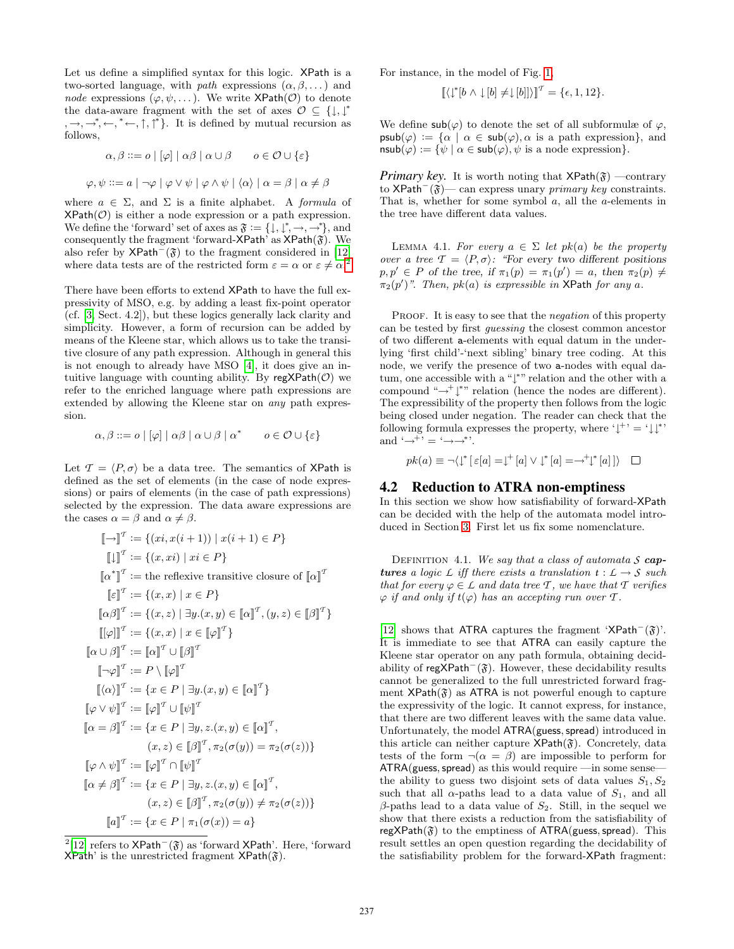Let us define a simplified syntax for this logic. XPath is a two-sorted language, with *path* expressions  $(\alpha, \beta, \dots)$  and node expressions  $(\varphi, \psi, \dots)$ . We write XPath( $\mathcal{O}$ ) to denote the data-aware fragment with the set of axes  $\mathcal{O} \subseteq \{\downarrow, \downarrow^*$  $,\rightarrow,\rightarrow^*,\leftarrow,^*,\leftarrow,^*,\uparrow,\uparrow^*$ . It is defined by mutual recursion as follows,

$$
\alpha, \beta ::= o \mid [\varphi] \mid \alpha \beta \mid \alpha \cup \beta \qquad o \in \mathcal{O} \cup \{\varepsilon\}
$$

$$
\varphi, \psi ::= a \mid \neg \varphi \mid \varphi \lor \psi \mid \varphi \land \psi \mid \langle \alpha \rangle \mid \alpha = \beta \mid \alpha \neq \beta
$$

where  $a \in \Sigma$ , and  $\Sigma$  is a finite alphabet. A *formula* of  $XPath(\mathcal{O})$  is either a node expression or a path expression. We define the 'forward' set of axes as  $\mathfrak{F} := \{ \downarrow, \downarrow^*, \rightarrow, \rightarrow^* \},$  and consequently the fragment 'forward-XPath' as  $XPath(\mathfrak{F})$ . We also refer by  $\mathsf{XPath}^-(\mathfrak{F})$  to the fragment considered in [12] where data tests are of the restricted form  $\varepsilon = \alpha$  or  $\varepsilon \neq \alpha$ .<sup>2</sup>

There have been efforts to extend XPath to have the full expressivity of MSO, e.g. by adding a least fix-point operator (cf. [3, Sect. 4.2]), but these logics generally lack clarity and simplicity. However, a form of recursion can be added by means of the Kleene star, which allows us to take the transitive closure of any path expression. Although in general this is not enough to already have MSO [4], it does give an intuitive language with counting ability. By  $\text{regXPath}(\mathcal{O})$  we refer to the enriched language where path expressions are extended by allowing the Kleene star on any path expression.

$$
\alpha, \beta ::= o \mid [\varphi] \mid \alpha \beta \mid \alpha \cup \beta \mid \alpha^* \qquad o \in \mathcal{O} \cup \{\varepsilon\}
$$

Let  $\mathcal{T} = \langle P, \sigma \rangle$  be a data tree. The semantics of XPath is defined as the set of elements (in the case of node expressions) or pairs of elements (in the case of path expressions) selected by the expression. The data aware expressions are the cases  $\alpha = \beta$  and  $\alpha \neq \beta$ .

$$
\llbracket - \rrbracket^T := \{(xi, x(i+1)) \mid x(i+1) \in P\}
$$
\n
$$
\llbracket \rrbracket^T := \{(x, xi) \mid xi \in P\}
$$
\n
$$
\llbracket \alpha^* \rrbracket^T := \text{the reflexive transitive closure of } \llbracket \alpha \rrbracket^T
$$
\n
$$
\llbracket \varepsilon \rrbracket^T := \{(x, x) \mid x \in P\}
$$
\n
$$
\llbracket \alpha \beta \rrbracket^T := \{(x, z) \mid \exists y.(x, y) \in \llbracket \alpha \rrbracket^T, (y, z) \in \llbracket \beta \rrbracket^T\}
$$
\n
$$
\llbracket [\varphi] \rrbracket^T := \{x, x\} \mid x \in \llbracket \varphi \rrbracket^T\}
$$
\n
$$
\llbracket \alpha \cup \beta \rrbracket^T := \llbracket \alpha \rrbracket^T \cup \llbracket \beta \rrbracket^T
$$
\n
$$
\llbracket \varphi \lor \psi \rrbracket^T := \llbracket \varphi \rrbracket^T \cup \llbracket \psi \rrbracket^T
$$
\n
$$
\llbracket \alpha = \beta \rrbracket^T := \llbracket x \in P \mid \exists y.(x, y) \in \llbracket \alpha \rrbracket^T\}
$$
\n
$$
\llbracket \alpha = \beta \rrbracket^T := \llbracket x \in P \mid \exists y. z.(x, y) \in \llbracket \alpha \rrbracket^T,
$$
\n
$$
(x, z) \in \llbracket \beta \rrbracket^T, \pi_2(\sigma(y)) = \pi_2(\sigma(z))\}
$$
\n
$$
\llbracket \varphi \land \psi \rrbracket^T := \llbracket \varphi \rrbracket^T \cap \llbracket \psi \rrbracket^T
$$
\n
$$
\llbracket \alpha \neq \beta \rrbracket^T := \{x \in P \mid \exists y, z.(x, y) \in \llbracket \alpha \rrbracket^T,
$$
\n
$$
(x, z) \in \llbracket \beta \rrbracket^T, \pi_2(\sigma(y)) \neq \pi_2(\sigma(z))\}
$$
\n
$$
\llbracket a \rrbracket^T := \{x \in P \mid \pi_1(\sigma(x)) = a\}
$$

For instance, in the model of Fig. 1,

$$
[\![\langle \downarrow^*[b \wedge \downarrow[b] \neq \downarrow[b]] \rangle]\!]^T = \{\epsilon, 1, 12\}.
$$

We define  $\mathsf{sub}(\varphi)$  to denote the set of all subformulæ of  $\varphi$ ,  $\textsf{psub}(\varphi) := \{ \alpha \mid \alpha \in \textsf{sub}(\varphi), \alpha \text{ is a path expression} \},\$ and  $nsub(\varphi) := \{ \psi \mid \alpha \in sub(\varphi), \psi \text{ is a node expression} \}.$ 

*Primary key.* It is worth noting that  $XPath(\mathfrak{F})$  —contrary to XPath<sup>−</sup>( $\mathfrak{F}$ )— can express unary *primary key* constraints. That is, whether for some symbol a, all the a-elements in the tree have different data values.

LEMMA 4.1. For every  $a \in \Sigma$  let pk(a) be the property over a tree  $\mathcal{T} = \langle P, \sigma \rangle$ : "For every two different positions"  $p, p' \in P$  of the tree, if  $\pi_1(p) = \pi_1(p') = a$ , then  $\pi_2(p) \neq$  $\pi_2(p')$ ". Then, pk(a) is expressible in XPath for any a.

PROOF. It is easy to see that the *negation* of this property can be tested by first guessing the closest common ancestor of two different a-elements with equal datum in the underlying 'first child'-'next sibling' binary tree coding. At this node, we verify the presence of two a-nodes with equal datum, one accessible with a "↓\*" relation and the other with a compound " $\rightarrow^+ \downarrow^*$ " relation (hence the nodes are different). The expressibility of the property then follows from the logic being closed under negation. The reader can check that the following formula expresses the property, where  $\downarrow^+$  =  $\downarrow \downarrow^*$ and  $\rightarrow$ <sup>+</sup>' =  $\rightarrow \rightarrow$ <sup>\*</sup>'.

$$
pk(a) \equiv \neg \langle \downarrow^* [\varepsilon[a] = \downarrow^+ [a] \vee \downarrow^* [a] = \rightarrow^+ \downarrow^* [a] \rangle \square
$$

#### 4.2 Reduction to ATRA non-emptiness

In this section we show how satisfiability of forward-XPath can be decided with the help of the automata model introduced in Section 3. First let us fix some nomenclature.

DEFINITION 4.1. We say that a class of automata *S* cap**tures** a logic  $\mathcal{L}$  iff there exists a translation  $t : \mathcal{L} \to \mathcal{S}$  such that for every  $\varphi \in L$  and data tree *T*, we have that *T* verifies  $\varphi$  if and only if  $t(\varphi)$  has an accepting run over *T*.

[12] shows that ATRA captures the fragment 'XPath<sup>-</sup> $(\mathfrak{F})$ '. It is immediate to see that ATRA can easily capture the Kleene star operator on any path formula, obtaining decidability of regXPath<sup>-</sup> $(\mathfrak{F})$ . However, these decidability results cannot be generalized to the full unrestricted forward fragment  $XPath(\mathfrak{F})$  as ATRA is not powerful enough to capture the expressivity of the logic. It cannot express, for instance, that there are two different leaves with the same data value. Unfortunately, the model  $\text{ATRA}(\text{guess}, \text{spread})$  introduced in this article can neither capture  $XPath(\mathfrak{F})$ . Concretely, data tests of the form  $\neg(\alpha = \beta)$  are impossible to perform for  $ATRA(guess, spread)$  as this would require —in some sense the ability to guess two disjoint sets of data values  $S_1, S_2$ such that all  $\alpha$ -paths lead to a data value of  $S_1$ , and all  $\beta$ -paths lead to a data value of  $S_2$ . Still, in the sequel we show that there exists a reduction from the satisfiability of regXPath $(\mathfrak{F})$  to the emptiness of ATRA(guess, spread). This result settles an open question regarding the decidability of the satisfiability problem for the forward-XPath fragment:

<sup>&</sup>lt;sup>2</sup>[12] refers to  $\mathsf{XPath}^-(\mathfrak{F})$  as 'forward  $\mathsf{XPath}$ '. Here, 'forward  $XPath'$  is the unrestricted fragment  $XPath(\mathfrak{F})$ .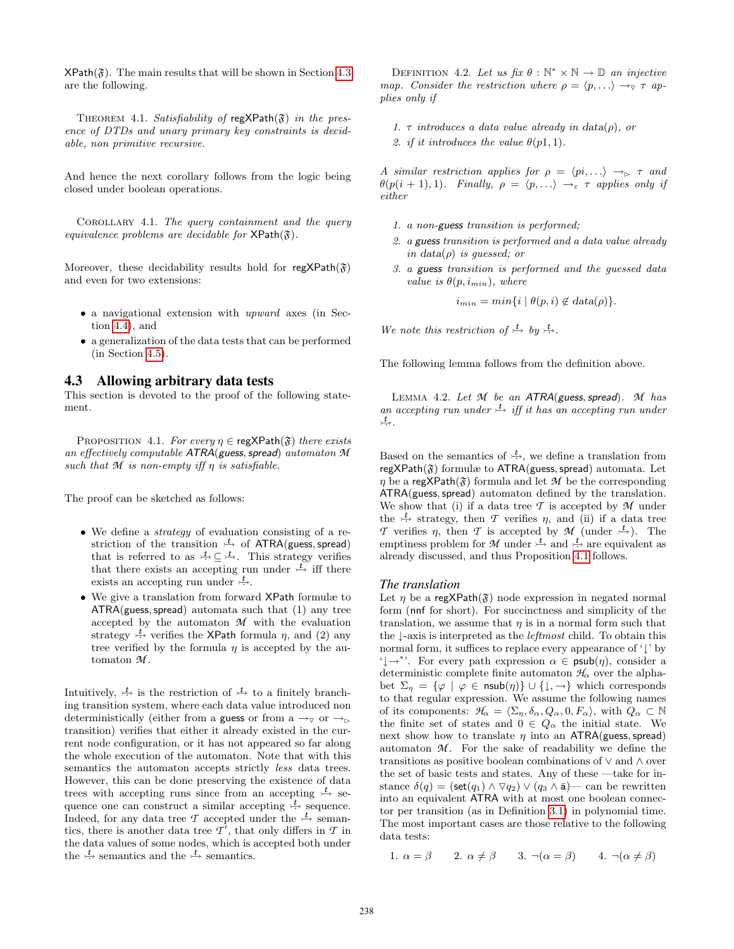$XPath(\mathfrak{F})$ . The main results that will be shown in Section 4.3 are the following.

THEOREM 4.1. Satisfiability of regXPath $(\mathfrak{F})$  in the presence of DTDs and unary primary key constraints is decidable, non primitive recursive.

And hence the next corollary follows from the logic being closed under boolean operations.

COROLLARY 4.1. The query containment and the query equivalence problems are decidable for  $XPath(\mathfrak{F})$ .

Moreover, these decidability results hold for regXPath( $\mathfrak{F}$ ) and even for two extensions:

- a navigational extension with upward axes (in Section 4.4), and
- a generalization of the data tests that can be performed (in Section 4.5).

### 4.3 Allowing arbitrary data tests

This section is devoted to the proof of the following statement.

PROPOSITION 4.1. For every  $\eta \in \text{reg} \times \text{Path}(\mathfrak{F})$  there exists an effectively computable ATRA(guess, spread) automaton  $M$ such that  $M$  is non-empty iff  $\eta$  is satisfiable.

The proof can be sketched as follows:

- We define a *strategy* of evaluation consisting of a restriction of the transition  $\overrightarrow{t}$  of ATRA(guess, spread) that is referred to as  $\frac{t}{t} \subseteq \frac{t}{t}$ . This strategy verifies that there exists an accepting run under  $\overline{f}$  iff there exists an accepting run under  $\overrightarrow{t}$ .
- We give a translation from forward XPath formulæ to  $ATRA(guess, spread)$  automata such that  $(1)$  any tree accepted by the automaton  $M$  with the evaluation strategy  $\stackrel{t}{\leftrightarrow}$  verifies the XPath formula  $\eta$ , and (2) any tree verified by the formula  $\eta$  is accepted by the automaton *M* .

Intuitively,  $\stackrel{t}{\leftrightarrow}$  is the restriction of  $\stackrel{t}{\rightarrow}$  to a finitely branching transition system, where each data value introduced non deterministically (either from a guess or from a  $\rightarrow_{\triangledown}$  or  $\rightarrow_{\triangleright}$ transition) verifies that either it already existed in the current node configuration, or it has not appeared so far along the whole execution of the automaton. Note that with this semantics the automaton accepts strictly *less* data trees. However, this can be done preserving the existence of data trees with accepting runs since from an accepting  $\frac{t}{t}$  sequence one can construct a similar accepting  $\stackrel{t}{\leftrightarrow}$  sequence. Indeed, for any data tree  $\mathcal T$  accepted under the  $\overset{\mathbf t}{\rightarrow}$  semantics, there is another data tree  $\mathcal{T}'$ , that only differs in  $\mathcal T$  in the data values of some nodes, which is accepted both under the  $\stackrel{t}{\leftrightarrow}$  semantics and the  $\stackrel{t}{\leftrightarrow}$  semantics.

DEFINITION 4.2. Let us fix  $\theta : \mathbb{N}^* \times \mathbb{N} \to \mathbb{D}$  an injective map. Consider the restriction where  $\rho = \langle p, \ldots \rangle \rightarrow \tau$  applies only if

1.  $\tau$  introduces a data value already in data( $\rho$ ), or 2. if it introduces the value  $\theta(p1, 1)$ .

A similar restriction applies for  $\rho = \langle pi, ...\rangle \rightarrow_{\rhd} \tau$  and  $\theta(p(i + 1), 1)$ . Finally,  $\rho = \langle p, \ldots \rangle \rightarrow_{\varepsilon} \tau$  applies only if either

- 1. a non-guess transition is performed;
- 2. a guess transition is performed and a data value already in data( $\rho$ ) is quessed; or
- 3. a guess transition is performed and the guessed data value is  $\theta(p, i_{min})$ , where

 $i_{min} = min\{i \mid \theta(p, i) \notin data(\rho)\}.$ 

We note this restriction of  $\stackrel{t}{\rightarrow}$  by  $\stackrel{t}{\rightarrow}$ .

The following lemma follows from the definition above.

LEMMA 4.2. Let *M* be an ATRA(guess, spread). *M* has an accepting run under  $\stackrel{\mathsf{t}}{\longrightarrow}$  iff it has an accepting run under *t* · .

Based on the semantics of  $\stackrel{t}{\leftrightarrow}$ , we define a translation from regXPath( $\mathfrak{F}$ ) formulæ to ATRA(guess, spread) automata. Let  $\eta$  be a regXPath( $\mathfrak{F}$ ) formula and let  $\mathcal M$  be the corresponding ATRA(guess, spread) automaton defined by the translation. We show that (i) if a data tree *T* is accepted by *M* under the  $\stackrel{t}{\leftrightarrow}$  strategy, then *T* verifies *η*, and (ii) if a data tree *T* verifies  $\eta$ , then *T* is accepted by *M* (under  $\overset{t}{\rightarrow}$ ). The emptiness problem for *M* under  $\stackrel{t}{\leftrightarrow}$  and  $\stackrel{t}{\leftrightarrow}$  are equivalent as already discussed, and thus Proposition 4.1 follows.

#### *The translation*

Let  $\eta$  be a regXPath( $\mathfrak{F}$ ) node expression in negated normal form (nnf for short). For succinctness and simplicity of the translation, we assume that  $\eta$  is in a normal form such that the ↓-axis is interpreted as the *leftmost* child. To obtain this normal form, it suffices to replace every appearance of '↓' by  $\downarrow \rightarrow^*$ . For every path expression  $\alpha \in \text{psub}(\eta)$ , consider a deterministic complete finite automaton  $\mathcal{H}_{\alpha}$  over the alphabet  $\Sigma_{\eta} = {\varphi \mid \varphi \in \text{nsub}(\eta)} \cup {\downarrow, \to}$  which corresponds to that regular expression. We assume the following names of its components:  $\mathcal{H}_{\alpha} = \langle \Sigma_n, \delta_\alpha, Q_\alpha, 0, F_\alpha \rangle$ , with  $Q_\alpha \subset \mathbb{N}$ the finite set of states and  $0 \in Q_\alpha$  the initial state. We next show how to translate  $\eta$  into an ATRA(guess, spread) automaton  $M$ . For the sake of readability we define the transitions as positive boolean combinations of ∨ and ∧ over the set of basic tests and states. Any of these —take for instance  $\delta(q) = (\mathsf{set}(q_1) \land \nabla q_2) \lor (q_3 \land \bar{a})$  can be rewritten into an equivalent ATRA with at most one boolean connector per transition (as in Definition 3.1) in polynomial time. The most important cases are those relative to the following data tests:

1.  $\alpha = \beta$  2.  $\alpha \neq \beta$  3.  $\neg(\alpha = \beta)$  4.  $\neg(\alpha \neq \beta)$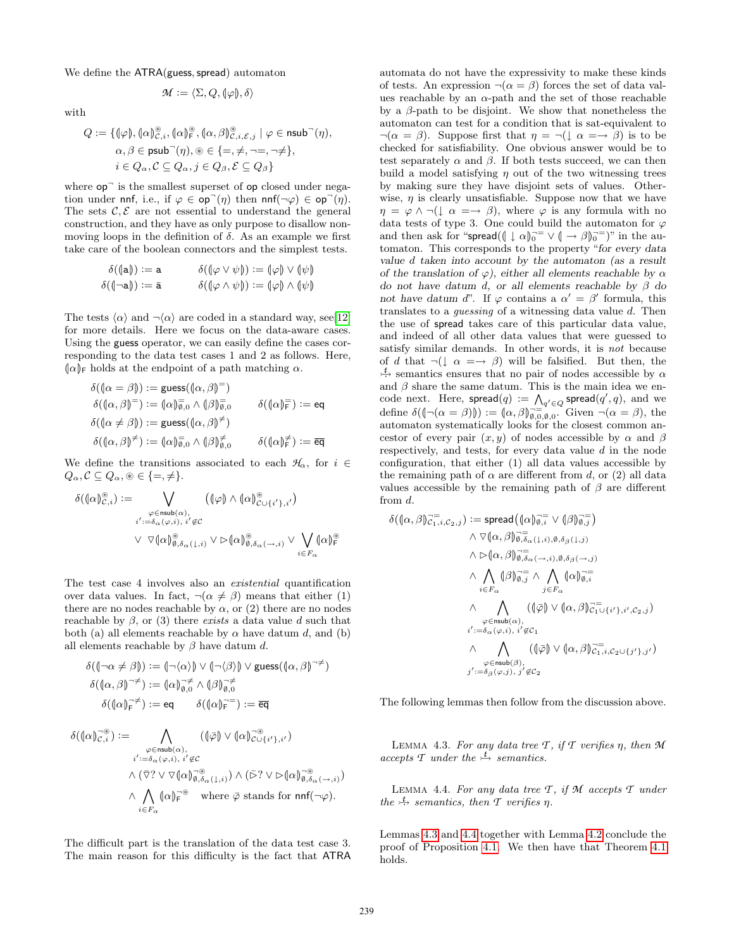We define the ATRA(guess, spread) automaton

$$
\mathcal{M}:=\langle \Sigma, Q, \llbracket \varphi \rrbracket, \delta \rangle
$$

with

$$
\begin{aligned} Q &:= \{(\hspace{-0.06cm}( \varphi), (\hspace{-0.06cm}( \alpha)\hspace{-0.06cm})^\circledast_{c,i}, (\hspace{-0.06cm}( \alpha)\hspace{-0.06cm})^\circledast_{r}, (\hspace{-0.06cm}( \alpha,\beta)\hspace{-0.06cm})^\circledast_{c,i,\mathcal{E},j}\mid \varphi\in\text{nsub}^-(\eta),\\ \alpha,\beta\in\text{psub}^-(\eta),\circledast\in\{=,\neq,\neg=\neg\neq\},\\ i\in Q_\alpha, \mathcal{C}\subseteq Q_\alpha, j\in Q_\beta, \mathcal{E}\subseteq Q_\beta\} \end{aligned}
$$

where  $op^-$  is the smallest superset of op closed under negation under nnf, i.e., if  $\varphi \in \mathsf{op}^-(\eta)$  then nnf $(\neg \varphi) \in \mathsf{op}^-(\eta)$ . The sets  $\mathcal{C}, \mathcal{E}$  are not essential to understand the general construction, and they have as only purpose to disallow nonmoving loops in the definition of  $\delta$ . As an example we first take care of the boolean connectors and the simplest tests.

$$
\begin{aligned}\n\delta(\mathsf{a}\mathsf{b}) &:= \mathsf{a} & \delta(\mathsf{b}\varphi \vee \psi) &:= \mathsf{b}\varphi \vee \mathsf{b}\psi \\
\delta(\mathsf{b}\neg\mathsf{a}\mathsf{b}) &:= \mathsf{a} & \delta(\mathsf{b}\varphi \wedge \psi) &:= \mathsf{b}\varphi \wedge \mathsf{b}\psi\n\end{aligned}
$$

The tests  $\langle \alpha \rangle$  and  $\neg \langle \alpha \rangle$  are coded in a standard way, see[12] for more details. Here we focus on the data-aware cases. Using the guess operator, we can easily define the cases corresponding to the data test cases 1 and 2 as follows. Here,  $\alpha$ |F holds at the endpoint of a path matching  $\alpha$ .

$$
\begin{aligned}\n\delta(\{\alpha = \beta\}) &:= \text{guess}(\{\alpha, \beta\}^=) \\
\delta(\{\alpha, \beta\}^=) &:= (\{\alpha\}^{\overline{\theta}}_{\emptyset, 0} \land (\{\beta\}^{\overline{\theta}}_{\emptyset, 0}) \qquad \delta(\{\alpha\}^{\overline{e}}) := \text{eq} \\
\delta(\{\alpha \neq \beta\}) &:= \text{guess}(\{\alpha, \beta\}^{\neq}) \\
\delta(\{\alpha, \beta\}^{\neq}) &:= (\{\alpha\}^{\overline{\theta}}_{\emptyset, 0} \land (\{\beta\}^{\neq}_{\emptyset, 0}) \qquad \delta(\{\alpha\}^{\neq}_{\mathsf{F}}) := \overline{\text{eq}}\n\end{aligned}
$$

We define the transitions associated to each  $\mathcal{H}_{\alpha}$ , for  $i \in$  $Q_{\alpha}, \mathcal{C} \subseteq Q_{\alpha}, \mathcal{B} \in \{=, \neq\}.$ 

$$
\delta(\{\alpha\}_{C,i}^{\circledast}):=\bigvee_{\substack{\varphi\in\operatorname{nsub}(\alpha),\\i':=\delta_{\alpha}(\varphi,i),\ i'\not\in\mathcal{C}}}\left(\{\varphi\}\wedge\{\alpha\}_{C\cup\{i'\},i'}^{\circledast}\right)\\ \vee\ \nabla\{\alpha\}_{\emptyset,\delta_{\alpha}(1,i)}^{\circledast}\vee\triangleright\{\alpha\}_{\emptyset,\delta_{\alpha}(\rightarrow,i)}^{\circlearrowleft}\vee\bigvee_{i\in F_{\alpha}}\{\alpha\}_{i}^{\circledast}
$$

The test case 4 involves also an existential quantification over data values. In fact,  $\neg(\alpha \neq \beta)$  means that either (1) there are no nodes reachable by  $\alpha$ , or (2) there are no nodes reachable by  $\beta$ , or (3) there exists a data value d such that both (a) all elements reachable by  $\alpha$  have datum d, and (b) all elements reachable by  $\beta$  have datum d.

$$
\delta(\{\neg \alpha \neq \beta\}) := \{\neg \langle \alpha \rangle\} \lor \{\neg \langle \beta \rangle\} \lor \text{guess}(\{\alpha, \beta\})^{\neg \neq})
$$

$$
\delta(\{\alpha, \beta\})^{\neg \neq}) := \{\alpha\}_{\emptyset, 0}^{\neg \neq} \land \{\beta\}_{\emptyset, 0}^{\neg \neq}
$$

$$
\delta(\{\alpha\}_{F}^{\neg \neq}) := \text{eq} \qquad \delta(\{\alpha\}_{F}^{\neg \neq}) := \overline{\text{eq}}
$$

$$
\begin{split} \delta([\alpha]_{\mathcal{C},i}^{\neg\circledast}) := & \bigwedge_{\varphi \in \text{rsub}(\alpha), \\ i':=\delta_{\alpha}(\varphi,i), \ i'\not\in \mathcal{C}} ((\![\bar{\varphi}]\!] \vee (\![\alpha]\!]_{\mathcal{C}\cup\{i'\},i'}^{\neg\circledast}) \\ & \qquad \qquad \wedge (\bar{\nabla}?\vee \nabla([\alpha]\!]_{\emptyset,\delta_{\alpha}(\downarrow,i)}^{\neg\circledast}) \wedge (\bar{\vartriangleright}?\vee \vartriangleright [\alpha]\!]_{\emptyset,\delta_{\alpha}(\rightarrow,i)}^{\neg\circledast}) \\ & \qquad \qquad \wedge \bigwedge_{i\in F_{\alpha}} (\![\alpha]\!]_{\mathsf{F}}^{\neg\circledast} \quad \text{where $\bar{\varphi}$ stands for $ \text{nnf}(\neg\varphi)$. } \end{split}
$$

The difficult part is the translation of the data test case 3. The main reason for this difficulty is the fact that ATRA automata do not have the expressivity to make these kinds of tests. An expression  $\neg(\alpha = \beta)$  forces the set of data values reachable by an  $\alpha$ -path and the set of those reachable by a  $\beta$ -path to be disjoint. We show that nonetheless the automaton can test for a condition that is sat-equivalent to  $\neg(\alpha = \beta)$ . Suppose first that  $\eta = \neg(\bot \alpha = \neg \beta)$  is to be checked for satisfiability. One obvious answer would be to test separately  $\alpha$  and  $\beta$ . If both tests succeed, we can then build a model satisfying  $\eta$  out of the two witnessing trees by making sure they have disjoint sets of values. Otherwise,  $\eta$  is clearly unsatisfiable. Suppose now that we have  $\eta = \varphi \wedge \neg (\downarrow \alpha = \rightarrow \beta)$ , where  $\varphi$  is any formula with no data tests of type 3. One could build the automaton for  $\varphi$ and then ask for "spread $((\downarrow \alpha)_0^{-1} \vee (\rightarrow \beta)_0^{-1})$ " in the automaton. This corresponds to the property "for every data value d taken into account by the automaton (as a result of the translation of  $\varphi$ ), either all elements reachable by  $\alpha$ do not have datum d, or all elements reachable by  $\beta$  do not have datum d". If  $\varphi$  contains a  $\alpha' = \beta'$  formula, this translates to a guessing of a witnessing data value d. Then the use of spread takes care of this particular data value, and indeed of all other data values that were guessed to satisfy similar demands. In other words, it is not because of d that  $\neg(\downarrow \alpha \implies \beta)$  will be falsified. But then, the  $\frac{t}{\sqrt{t}}$  semantics ensures that no pair of nodes accessible by  $\alpha$ and  $\beta$  share the same datum. This is the main idea we encode next. Here,  $\mathsf{spread}(q) := \bigwedge_{q' \in Q} \mathsf{spread}(q', q), \text{ and we}$ define  $\delta(\lceil \neg(\alpha = \beta) \rceil) := (\lceil \alpha, \beta \rceil)_{\emptyset, 0, \emptyset, 0}^{\neg \equiv}$ . Given  $\neg(\alpha = \beta)$ , the automaton systematically looks for the closest common ancestor of every pair  $(x, y)$  of nodes accessible by  $\alpha$  and  $\beta$ respectively, and tests, for every data value d in the node configuration, that either (1) all data values accessible by the remaining path of  $\alpha$  are different from d, or (2) all data values accessible by the remaining path of  $\beta$  are different from d.

$$
\begin{aligned} \delta(\langle\alpha,\beta\rangle & \overline{c}_{1,i,C_{2},j}^{-1}) := \text{spread}\left(\langle\alpha\rangle\overline{\theta_{j,i}^{-}} \vee \langle\beta\rangle\overline{\theta_{j,j}^{-}}\right) \\ & \qquad \wedge \nabla(\alpha,\beta) \overline{\theta_{j,\delta_{\alpha}}^{-}}(\bot,i),\emptyset,\delta_{\beta}(\bot,j) \\ & \qquad \wedge \rhd(\alpha,\beta) \overline{\theta_{j,\delta_{\alpha}}^{-}}(\bot,i),\emptyset,\delta_{\beta}(\bot,j) \\ & \qquad \wedge \bigwedge_{i \in F_{\alpha}} (\beta) \overline{\theta_{j,j}^{-}} \wedge \bigwedge_{j \in F_{\alpha}} (\alpha) \overline{\theta_{j,i}^{-}} \\ & \qquad \wedge \bigwedge_{\varphi \in \text{nsub}(\alpha),} ((\overline{\varphi}) \vee (\alpha,\beta) \overline{\mathcal{C}_{1}}^{-} \cup \{\iota'\},i',c_{2},j) \\ & \qquad \qquad \varphi \in \text{nsub}(\alpha), \\ & \qquad \qquad \iota' := \delta_{\alpha}(\varphi,i), i' \not\in C_{1} \\ & \qquad \wedge \bigwedge_{\varphi \in \text{nsub}(\beta),} ((\overline{\varphi}) \vee (\alpha,\beta) \overline{\mathcal{C}_{1},i},c_{2} \cup \{j'\},j') \\ & \qquad \qquad \varphi \in \text{nsub}(\beta), \\ & \qquad \qquad j':=\delta_{\beta}(\varphi,j), j' \not\in C_{2} \end{aligned}
$$

The following lemmas then follow from the discussion above.

LEMMA 4.3. For any data tree *T*, if *T* verifies  $\eta$ , then *M*  $accepts$  *T* under the  $\stackrel{t}{\rightarrow}$  semantics.

Lemma 4.4. For any data tree *T* , if *M* accepts *T* under the  $\stackrel{t}{\leftrightarrow}$  semantics, then *T* verifies  $\eta$ .

Lemmas 4.3 and 4.4 together with Lemma 4.2 conclude the proof of Proposition 4.1. We then have that Theorem 4.1 holds.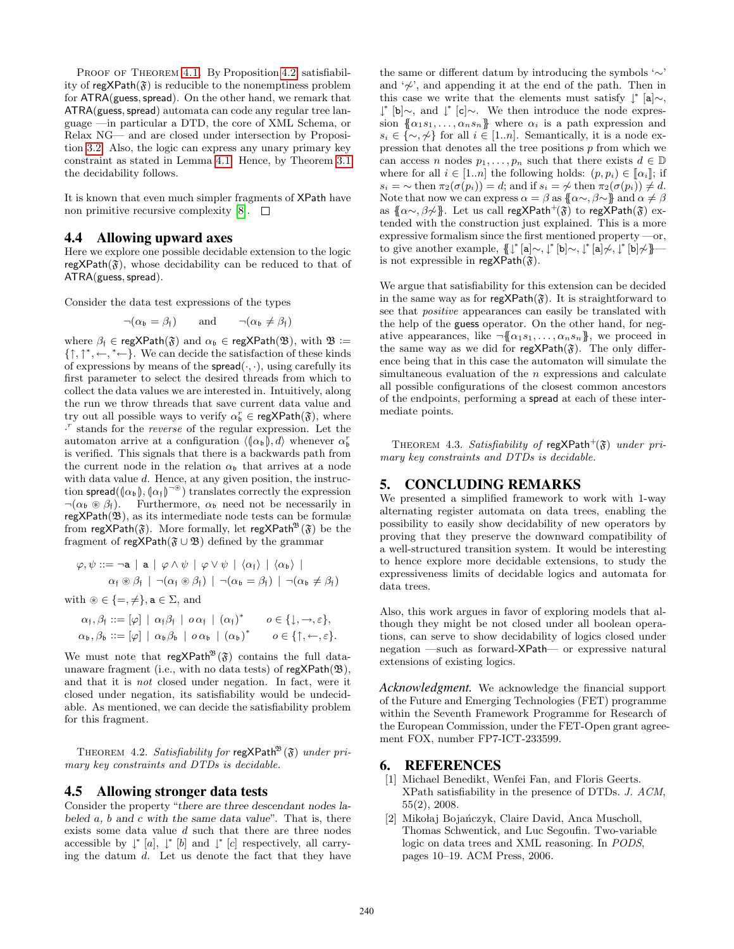PROOF OF THEOREM 4.1. By Proposition 4.2, satisfiability of  $\text{regXPath}(\mathfrak{F})$  is reducible to the nonemptiness problem for ATRA(guess, spread). On the other hand, we remark that ATRA(guess, spread) automata can code any regular tree language —in particular a DTD, the core of XML Schema, or Relax NG— and are closed under intersection by Proposition 3.2. Also, the logic can express any unary primary key constraint as stated in Lemma 4.1. Hence, by Theorem 3.1 the decidability follows.

It is known that even much simpler fragments of XPath have non primitive recursive complexity  $[8]$ .  $\Box$ 

# 4.4 Allowing upward axes

Here we explore one possible decidable extension to the logic regXPath $(\mathfrak{F})$ , whose decidability can be reduced to that of ATRA(guess, spread).

Consider the data test expressions of the types

$$
\neg(\alpha_{\mathfrak{b}} = \beta_{\mathfrak{f}})
$$
 and  $\neg(\alpha_{\mathfrak{b}} \neq \beta_{\mathfrak{f}})$ 

where  $\beta_f \in \text{regXPath}(\mathfrak{F})$  and  $\alpha_b \in \text{regXPath}(\mathfrak{B})$ , with  $\mathfrak{B} :=$  $\{\uparrow, \uparrow^*, \leftarrow, \uparrow^* \leftarrow\}$ . We can decide the satisfaction of these kinds of expressions by means of the  $spread(\cdot, \cdot)$ , using carefully its first parameter to select the desired threads from which to collect the data values we are interested in. Intuitively, along the run we throw threads that save current data value and try out all possible ways to verify  $\alpha_b^r \in \text{regXPath}(\mathfrak{F})$ , where · r stands for the reverse of the regular expression. Let the automaton arrive at a configuration  $\langle (\alpha_{\mathfrak{b}}), d \rangle$  whenever  $\alpha_{\mathfrak{b}}^r$ is verified. This signals that there is a backwards path from the current node in the relation  $\alpha_{\mathfrak{b}}$  that arrives at a node with data value d. Hence, at any given position, the instruction spread $(\alpha_{\mathfrak{b}}),(\alpha_{\mathfrak{f}})^{-\circledast}$  translates correctly the expression  $\neg(\alpha_{\mathfrak{b}} \circledast \beta_{\mathfrak{f}})$ . Furthermore,  $\alpha_{\mathfrak{b}}$  need not be necessarily in  $regXPath(\mathfrak{B})$ , as its intermediate node tests can be formulæ from regXPath( $\mathfrak{F}$ ). More formally, let regXPath<sup>28</sup>( $\mathfrak{F}$ ) be the fragment of regXPath( $\mathfrak{F} \cup \mathfrak{B}$ ) defined by the grammar

$$
\varphi, \psi ::= \neg a \mid a \mid \varphi \land \psi \mid \varphi \lor \psi \mid \langle \alpha_{\mathfrak{f}} \rangle \mid \langle \alpha_{\mathfrak{b}} \rangle \mid
$$
  

$$
\alpha_{\mathfrak{f}} \circledast \beta_{\mathfrak{f}} \mid \neg(\alpha_{\mathfrak{f}} \circledast \beta_{\mathfrak{f}}) \mid \neg(\alpha_{\mathfrak{b}} = \beta_{\mathfrak{f}}) \mid \neg(\alpha_{\mathfrak{b}} \neq \beta_{\mathfrak{f}})
$$

with  $\mathscr{B} \in \{ =, \neq \}, \mathbf{a} \in \Sigma$ , and

$$
\begin{aligned}\n\alpha_{\mathfrak{f}}, \beta_{\mathfrak{f}} &::= [\varphi] \mid \alpha_{\mathfrak{f}} \beta_{\mathfrak{f}} \mid o \alpha_{\mathfrak{f}} \mid (\alpha_{\mathfrak{f}})^* \qquad o \in \{ \downarrow, \rightarrow, \varepsilon \}, \\
\alpha_{\mathfrak{b}}, \beta_{\mathfrak{b}} &::= [\varphi] \mid \alpha_{\mathfrak{b}} \beta_{\mathfrak{b}} \mid o \alpha_{\mathfrak{b}} \mid (\alpha_{\mathfrak{b}})^* \qquad o \in \{ \uparrow, \leftarrow, \varepsilon \}.\n\end{aligned}
$$

We must note that regXPath<sup>33</sup> $(\mathfrak{F})$  contains the full dataunaware fragment (i.e., with no data tests) of  $regXPath(\mathfrak{B}),$ and that it is not closed under negation. In fact, were it closed under negation, its satisfiability would be undecidable. As mentioned, we can decide the satisfiability problem for this fragment.

THEOREM 4.2. Satisfiability for regXPath<sup>38</sup> $(\mathfrak{F})$  under primary key constraints and DTDs is decidable.

#### 4.5 Allowing stronger data tests

Consider the property "there are three descendant nodes labeled  $a, b$  and  $c$  with the same data value". That is, there exists some data value  $d$  such that there are three nodes accessible by  $\downarrow^*$  [a],  $\downarrow^*$  [b] and  $\downarrow^*$  [c] respectively, all carrying the datum  $d$ . Let us denote the fact that they have the same or different datum by introducing the symbols '∼' and  $\phi^{\prime}$ , and appending it at the end of the path. Then in this case we write that the elements must satisfy  $\downarrow^*$  [a]∼, ↓ ∗ [b]∼, and ↓ ∗ [c]∼. We then introduce the node expression  $\{\alpha_1s_1,\ldots,\alpha_ns_n\}$  where  $\alpha_i$  is a path expression and  $s_i \in \{\sim, \nsim\}$  for all  $i \in [1..n]$ . Semantically, it is a node expression that denotes all the tree positions  $p$  from which we can access n nodes  $p_1, \ldots, p_n$  such that there exists  $d \in \mathbb{D}$ where for all  $i \in [1..n]$  the following holds:  $(p, p_i) \in [\![\alpha_i]\!]$ ; if  $s_i = \sim \text{then } \pi_2(\sigma(p_i)) = d$ ; and if  $s_i = \nless$  then  $\pi_2(\sigma(p_i)) \neq d$ . Note that now we can express  $\alpha = \beta$  as  $\{\alpha \sim \beta \sim \}$  and  $\alpha \neq \beta$ as  $\{\alpha \sim \beta \not\sim\}$ . Let us call regXPath<sup>+</sup>( $\mathfrak{F}$ ) to regXPath( $\mathfrak{F}$ ) extended with the construction just explained. This is a more expressive formalism since the first mentioned property —or, to give another example,  $\{ \downarrow^* [\mathbf{a}] \sim, \downarrow^* [\mathbf{b}] \sim, \downarrow^* [\mathbf{a}] \nsim, \downarrow^* [\mathbf{b}] \nsim \}$ is not expressible in regXPath $(\mathfrak{F})$ .

We argue that satisfiability for this extension can be decided in the same way as for regXPath $(\mathfrak{F})$ . It is straightforward to see that *positive* appearances can easily be translated with the help of the guess operator. On the other hand, for negative appearances, like  $\neg {\alpha_1s_1,\ldots,\alpha_ns_n}$ , we proceed in the same way as we did for  $regXPath(\mathfrak{F})$ . The only difference being that in this case the automaton will simulate the simultaneous evaluation of the  $n$  expressions and calculate all possible configurations of the closest common ancestors of the endpoints, performing a spread at each of these intermediate points.

THEOREM 4.3. Satisfiability of regXPath<sup>+</sup>( $\mathfrak{F}$ ) under primary key constraints and DTDs is decidable.

# 5. CONCLUDING REMARKS

We presented a simplified framework to work with 1-way alternating register automata on data trees, enabling the possibility to easily show decidability of new operators by proving that they preserve the downward compatibility of a well-structured transition system. It would be interesting to hence explore more decidable extensions, to study the expressiveness limits of decidable logics and automata for data trees.

Also, this work argues in favor of exploring models that although they might be not closed under all boolean operations, can serve to show decidability of logics closed under negation —such as forward-XPath— or expressive natural extensions of existing logics.

*Acknowledgment.* We acknowledge the financial support of the Future and Emerging Technologies (FET) programme within the Seventh Framework Programme for Research of the European Commission, under the FET-Open grant agreement FOX, number FP7-ICT-233599.

## 6. REFERENCES

- [1] Michael Benedikt, Wenfei Fan, and Floris Geerts. XPath satisfiability in the presence of DTDs. J. ACM, 55(2), 2008.
- [2] Mikołaj Bojańczyk, Claire David, Anca Muscholl, Thomas Schwentick, and Luc Segoufin. Two-variable logic on data trees and XML reasoning. In PODS, pages 10–19. ACM Press, 2006.